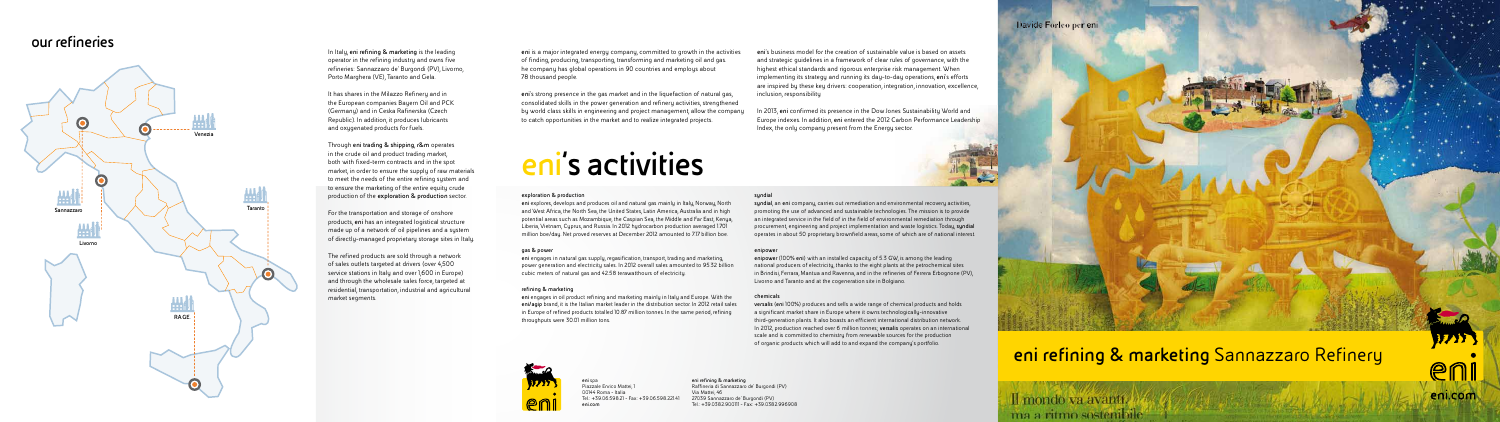**eni** spa Piazzale Enrico Mattei, 1 00144 Roma - Italia Tel.: +39.06.598.21 - Fax: +39.06.598.221.41 **eni.com**

### **eni refining & marketing** Raffineria di Sannazzaro de' Burgondi (PV) Via Mattei, 46 27039 Sannazzaro de' Burgondi (PV)

Tel.: +39.0382.900111 - Fax: +39.0382.996908



### **eni refining & marketing** Sannazzaro Refinery

# **eni's activities**

### **our refineries**



**eni** is a major integrated energy company, committed to growth in the activities of finding, producing, transporting, transforming and marketing oil and gas. he company has global operations in 90 countries and employs about 78 thousand people.

**eni**'s strong presence in the gas market and in the liquefaction of natural gas, consolidated skills in the power generation and refinery activities, strengthened by world class skills in engineering and project management, allow the company to catch opportunities in the market and to realize integrated projects.

**eni**'s business model for the creation of sustainable value is based on assets and strategic guidelines in a framework of clear rules of governance, with the highest ethical standards and rigorous enterprise risk management. When implementing its strategy and running its day-to-day operations, **eni**'s efforts are inspired by these key drivers: cooperation, integration, innovation, excellence, inclusion, responsibility

In 2013, **eni** confirmed its presence in the Dow Jones Sustainability World and Europe indexes. In addition, **eni** entered the 2012 Carbon Performance Leadership Index, the only company present from the Energy sector.



### **exploration & production**

**eni** explores, develops and produces oil and natural gas mainly in Italy, Norway, North and West Africa, the North Sea, the United States, Latin America, Australia and in high potential areas such as Mozambique, the Caspian Sea, the Middle and Far East, Kenya, Liberia, Vietnam, Cyprus, and Russia. In 2012 hydrocarbon production averaged 1.701 million boe/day. Net proved reserves at December 2012 amounted to 7.17 billion boe.

### **gas & power**

**eni** engages in natural gas supply, regasification, transport, trading and marketing, power generation and electricity sales. In 2012 overall sales amounted to 95.32 billion cubic meters of natural gas and 42.58 terawatthours of electricity.

### **refining & marketing**

**eni** engages in oil product refining and marketing mainly in Italy and Europe. With the **eni/agip** brand, it is the Italian market leader in the distribution sector. In 2012 retail sales in Europe of refined products totalled 10.87 million tonnes. In the same period, refining throughputs were 30.01 million tons.



#### **syndial**

**syndial**, an **eni** company, carries out remediation and environmental recovery activities, promoting the use of advanced and sustainable technologies. The mission is to provide an integrated service in the field of in the field of environmental remediation through procurement, engineering and project implementation and waste logistics. Today, **syndial**  operates in about 50 proprietary brownfield areas, some of which are of national interest.

#### **enipower**

**enipower** (100% **eni**) with an installed capacity of 5.3 GW, is among the leading national producers of electricity, thanks to the eight plants at the petrochemical sites in Brindisi, Ferrara, Mantua and Ravenna, and in the refineries of Ferrera Erbognone (PV), Livorno and Taranto and at the cogeneration site in Bolgiano.

### **chemicals**

**versalis** (**eni** 100%) produces and sells a wide range of chemical products and holds a significant market share in Europe where it owns technologically-innovative third-generation plants. It also boasts an efficient international distribution network. In 2012, production reached over 6 million tonnes; **versalis** operates on an international scale and is committed to chemistry from renewable sources for the production of organic products which will add to and expand the company's portfolio.



Il mondo va avanti.

ma a ritmo sostenibile

In Italy, **eni refining & marketing** is the leading operator in the refining industry and owns five refineries: Sannazzaro de' Burgondi (PV), Livorno, Porto Marghera (VE), Taranto and Gela.

It has shares in the Milazzo Refinery and in the European companies Bayern Oil and PCK (Germany) and in Ceska Rafinerska (Czech Republic). In addition, it produces lubricants and oxygenated products for fuels.

Through **eni trading & shipping**, **r&m** operates in the crude oil and product trading market, both with fixed-term contracts and in the spot market, in order to ensure the supply of raw materials to meet the needs of the entire refining system and to ensure the marketing of the entire equity crude production of the **exploration & production** sector.

For the transportation and storage of onshore products, **eni** has an integrated logistical structure made up of a network of oil pipelines and a system of directly-managed proprietary storage sites in Italy.

The refined products are sold through a network of sales outlets targeted at drivers (over 4,500 service stations in Italy and over 1,600 in Europe) and through the wholesale sales force, targeted at residential, transportation, industrial and agricultural market segments.